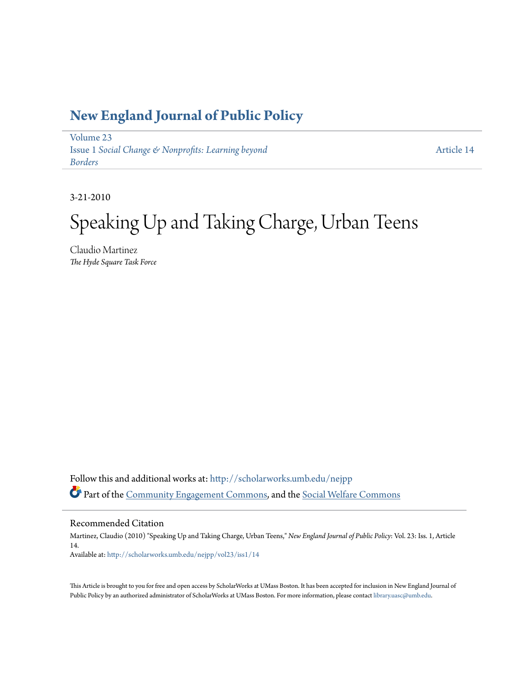### **[New England Journal of Public Policy](http://scholarworks.umb.edu/nejpp?utm_source=scholarworks.umb.edu%2Fnejpp%2Fvol23%2Fiss1%2F14&utm_medium=PDF&utm_campaign=PDFCoverPages)**

[Volume 23](http://scholarworks.umb.edu/nejpp/vol23?utm_source=scholarworks.umb.edu%2Fnejpp%2Fvol23%2Fiss1%2F14&utm_medium=PDF&utm_campaign=PDFCoverPages) Issue 1 *[Social Change & Nonprofits: Learning beyond](http://scholarworks.umb.edu/nejpp/vol23/iss1?utm_source=scholarworks.umb.edu%2Fnejpp%2Fvol23%2Fiss1%2F14&utm_medium=PDF&utm_campaign=PDFCoverPages) [Borders](http://scholarworks.umb.edu/nejpp/vol23/iss1?utm_source=scholarworks.umb.edu%2Fnejpp%2Fvol23%2Fiss1%2F14&utm_medium=PDF&utm_campaign=PDFCoverPages)*

[Article 14](http://scholarworks.umb.edu/nejpp/vol23/iss1/14?utm_source=scholarworks.umb.edu%2Fnejpp%2Fvol23%2Fiss1%2F14&utm_medium=PDF&utm_campaign=PDFCoverPages)

3-21-2010

# Speaking Up and Taking Charge, Urban Teens

Claudio Martinez *The Hyde Square Task Force*

Follow this and additional works at: [http://scholarworks.umb.edu/nejpp](http://scholarworks.umb.edu/nejpp?utm_source=scholarworks.umb.edu%2Fnejpp%2Fvol23%2Fiss1%2F14&utm_medium=PDF&utm_campaign=PDFCoverPages) Part of the [Community Engagement Commons](http://network.bepress.com/hgg/discipline/1028?utm_source=scholarworks.umb.edu%2Fnejpp%2Fvol23%2Fiss1%2F14&utm_medium=PDF&utm_campaign=PDFCoverPages), and the [Social Welfare Commons](http://network.bepress.com/hgg/discipline/401?utm_source=scholarworks.umb.edu%2Fnejpp%2Fvol23%2Fiss1%2F14&utm_medium=PDF&utm_campaign=PDFCoverPages)

Recommended Citation

Martinez, Claudio (2010) "Speaking Up and Taking Charge, Urban Teens," *New England Journal of Public Policy*: Vol. 23: Iss. 1, Article 14. Available at: [http://scholarworks.umb.edu/nejpp/vol23/iss1/14](http://scholarworks.umb.edu/nejpp/vol23/iss1/14?utm_source=scholarworks.umb.edu%2Fnejpp%2Fvol23%2Fiss1%2F14&utm_medium=PDF&utm_campaign=PDFCoverPages)

This Article is brought to you for free and open access by ScholarWorks at UMass Boston. It has been accepted for inclusion in New England Journal of Public Policy by an authorized administrator of ScholarWorks at UMass Boston. For more information, please contact [library.uasc@umb.edu](mailto:library.uasc@umb.edu).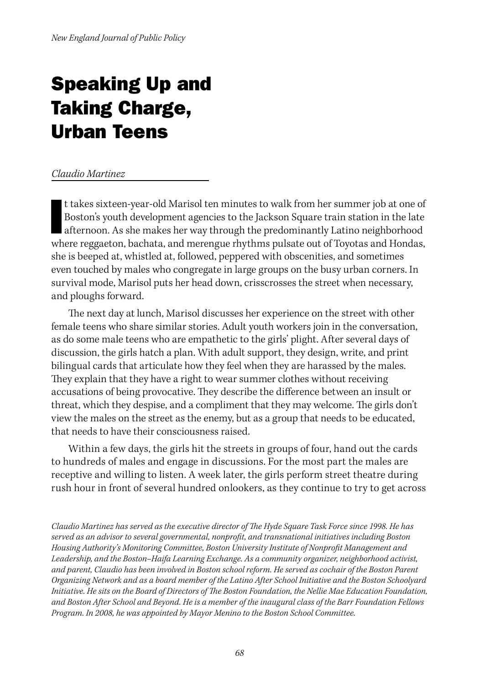## Speaking Up and Taking Charge, Urban Teens

#### *Claudio Martinez*

I<br>I t takes sixteen-year-old Marisol ten minutes to walk from her summer job at one of Boston's youth development agencies to the Jackson Square train station in the late afternoon. As she makes her way through the predominantly Latino neighborhood where reggaeton, bachata, and merengue rhythms pulsate out of Toyotas and Hondas, she is beeped at, whistled at, followed, peppered with obscenities, and sometimes even touched by males who congregate in large groups on the busy urban corners. In survival mode, Marisol puts her head down, crisscrosses the street when necessary, and ploughs forward.

The next day at lunch, Marisol discusses her experience on the street with other female teens who share similar stories. Adult youth workers join in the conversation, as do some male teens who are empathetic to the girls' plight. After several days of discussion, the girls hatch a plan. With adult support, they design, write, and print bilingual cards that articulate how they feel when they are harassed by the males. They explain that they have a right to wear summer clothes without receiving accusations of being provocative. They describe the difference between an insult or threat, which they despise, and a compliment that they may welcome. The girls don't view the males on the street as the enemy, but as a group that needs to be educated, that needs to have their consciousness raised.

Within a few days, the girls hit the streets in groups of four, hand out the cards to hundreds of males and engage in discussions. For the most part the males are receptive and willing to listen. A week later, the girls perform street theatre during rush hour in front of several hundred onlookers, as they continue to try to get across

*Claudio Martinez has served as the executive director of The Hyde Square Task Force since 1998. He has served as an advisor to several governmental, nonprofit, and transnational initiatives including Boston Housing Authority's Monitoring Committee, Boston University Institute of Nonprofit Management and Leadership, and the Boston–Haifa Learning Exchange. As a community organizer, neighborhood activist, and parent, Claudio has been involved in Boston school reform. He served as cochair of the Boston Parent Organizing Network and as a board member of the Latino After School Initiative and the Boston Schoolyard Initiative. He sits on the Board of Directors of The Boston Foundation, the Nellie Mae Education Foundation, and Boston After School and Beyond. He is a member of the inaugural class of the Barr Foundation Fellows Program. In 2008, he was appointed by Mayor Menino to the Boston School Committee.*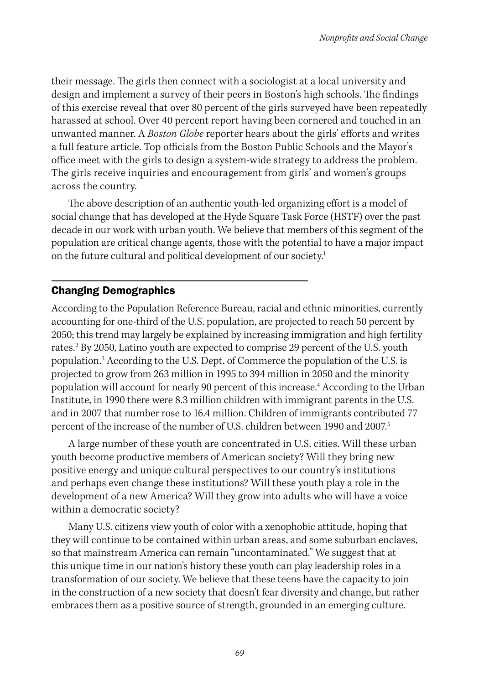their message. The girls then connect with a sociologist at a local university and design and implement a survey of their peers in Boston's high schools. The findings of this exercise reveal that over 80 percent of the girls surveyed have been repeatedly harassed at school. Over 40 percent report having been cornered and touched in an unwanted manner. A *Boston Globe* reporter hears about the girls' efforts and writes a full feature article. Top officials from the Boston Public Schools and the Mayor's office meet with the girls to design a system-wide strategy to address the problem. The girls receive inquiries and encouragement from girls' and women's groups across the country.

The above description of an authentic youth-led organizing effort is a model of social change that has developed at the Hyde Square Task Force (HSTF) over the past decade in our work with urban youth. We believe that members of this segment of the population are critical change agents, those with the potential to have a major impact on the future cultural and political development of our society.<sup>1</sup>

#### Changing Demographics

According to the Population Reference Bureau, racial and ethnic minorities, currently accounting for one-third of the U.S. population, are projected to reach 50 percent by 2050; this trend may largely be explained by increasing immigration and high fertility rates.2 By 2050, Latino youth are expected to comprise 29 percent of the U.S. youth population.3 According to the U.S. Dept. of Commerce the population of the U.S. is projected to grow from 263 million in 1995 to 394 million in 2050 and the minority population will account for nearly 90 percent of this increase.<sup>4</sup> According to the Urban Institute, in 1990 there were 8.3 million children with immigrant parents in the U.S. and in 2007 that number rose to 16.4 million. Children of immigrants contributed 77 percent of the increase of the number of U.S. children between 1990 and 2007.<sup>5</sup>

A large number of these youth are concentrated in U.S. cities. Will these urban youth become productive members of American society? Will they bring new positive energy and unique cultural perspectives to our country's institutions and perhaps even change these institutions? Will these youth play a role in the development of a new America? Will they grow into adults who will have a voice within a democratic society?

Many U.S. citizens view youth of color with a xenophobic attitude, hoping that they will continue to be contained within urban areas, and some suburban enclaves, so that mainstream America can remain "uncontaminated." We suggest that at this unique time in our nation's history these youth can play leadership roles in a transformation of our society. We believe that these teens have the capacity to join in the construction of a new society that doesn't fear diversity and change, but rather embraces them as a positive source of strength, grounded in an emerging culture.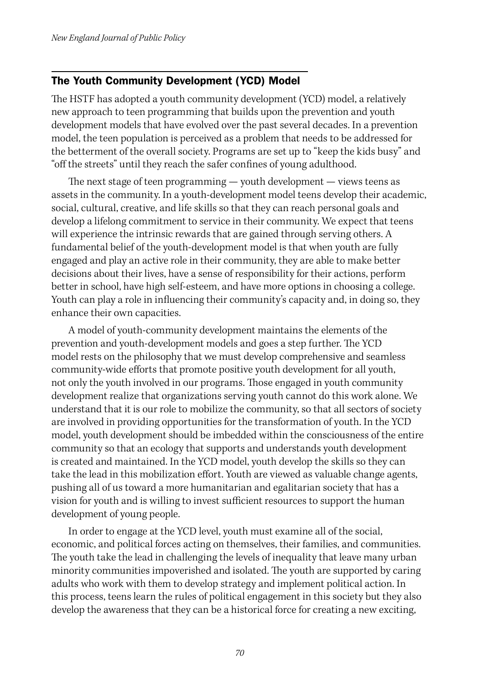#### The Youth Community Development (YCD) Model

The HSTF has adopted a youth community development (YCD) model, a relatively new approach to teen programming that builds upon the prevention and youth development models that have evolved over the past several decades. In a prevention model, the teen population is perceived as a problem that needs to be addressed for the betterment of the overall society. Programs are set up to "keep the kids busy" and "off the streets" until they reach the safer confines of young adulthood.

The next stage of teen programming — youth development — views teens as assets in the community. In a youth-development model teens develop their academic, social, cultural, creative, and life skills so that they can reach personal goals and develop a lifelong commitment to service in their community. We expect that teens will experience the intrinsic rewards that are gained through serving others. A fundamental belief of the youth-development model is that when youth are fully engaged and play an active role in their community, they are able to make better decisions about their lives, have a sense of responsibility for their actions, perform better in school, have high self-esteem, and have more options in choosing a college. Youth can play a role in influencing their community's capacity and, in doing so, they enhance their own capacities.

A model of youth-community development maintains the elements of the prevention and youth-development models and goes a step further. The YCD model rests on the philosophy that we must develop comprehensive and seamless community-wide efforts that promote positive youth development for all youth, not only the youth involved in our programs. Those engaged in youth community development realize that organizations serving youth cannot do this work alone. We understand that it is our role to mobilize the community, so that all sectors of society are involved in providing opportunities for the transformation of youth. In the YCD model, youth development should be imbedded within the consciousness of the entire community so that an ecology that supports and understands youth development is created and maintained. In the YCD model, youth develop the skills so they can take the lead in this mobilization effort. Youth are viewed as valuable change agents, pushing all of us toward a more humanitarian and egalitarian society that has a vision for youth and is willing to invest sufficient resources to support the human development of young people.

In order to engage at the YCD level, youth must examine all of the social, economic, and political forces acting on themselves, their families, and communities. The youth take the lead in challenging the levels of inequality that leave many urban minority communities impoverished and isolated. The youth are supported by caring adults who work with them to develop strategy and implement political action. In this process, teens learn the rules of political engagement in this society but they also develop the awareness that they can be a historical force for creating a new exciting,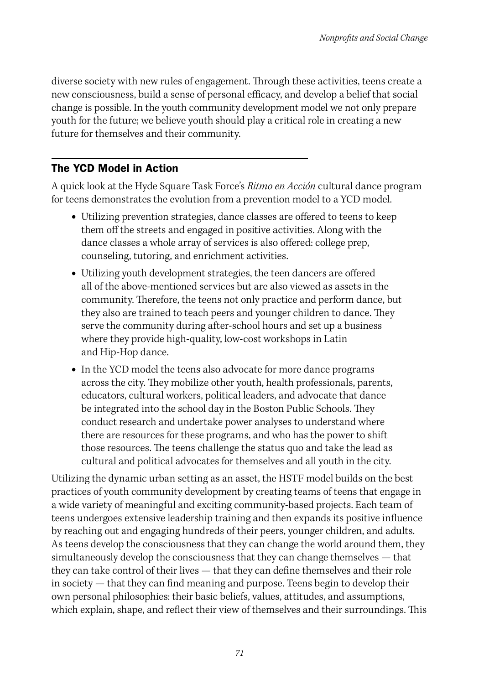diverse society with new rules of engagement. Through these activities, teens create a new consciousness, build a sense of personal efficacy, and develop a belief that social change is possible. In the youth community development model we not only prepare youth for the future; we believe youth should play a critical role in creating a new future for themselves and their community.

#### The YCD Model in Action

A quick look at the Hyde Square Task Force's *Ritmo en Acción* cultural dance program for teens demonstrates the evolution from a prevention model to a YCD model.

- **•** Utilizing prevention strategies, dance classes are offered to teens to keep them off the streets and engaged in positive activities. Along with the dance classes a whole array of services is also offered: college prep, counseling, tutoring, and enrichment activities.
- **•** Utilizing youth development strategies, the teen dancers are offered all of the above-mentioned services but are also viewed as assets in the community. Therefore, the teens not only practice and perform dance, but they also are trained to teach peers and younger children to dance. They serve the community during after-school hours and set up a business where they provide high-quality, low-cost workshops in Latin and Hip-Hop dance.
- **•** In the YCD model the teens also advocate for more dance programs across the city. They mobilize other youth, health professionals, parents, educators, cultural workers, political leaders, and advocate that dance be integrated into the school day in the Boston Public Schools. They conduct research and undertake power analyses to understand where there are resources for these programs, and who has the power to shift those resources. The teens challenge the status quo and take the lead as cultural and political advocates for themselves and all youth in the city.

Utilizing the dynamic urban setting as an asset, the HSTF model builds on the best practices of youth community development by creating teams of teens that engage in a wide variety of meaningful and exciting community-based projects. Each team of teens undergoes extensive leadership training and then expands its positive influence by reaching out and engaging hundreds of their peers, younger children, and adults. As teens develop the consciousness that they can change the world around them, they simultaneously develop the consciousness that they can change themselves — that they can take control of their lives — that they can define themselves and their role in society — that they can find meaning and purpose. Teens begin to develop their own personal philosophies: their basic beliefs, values, attitudes, and assumptions, which explain, shape, and reflect their view of themselves and their surroundings. This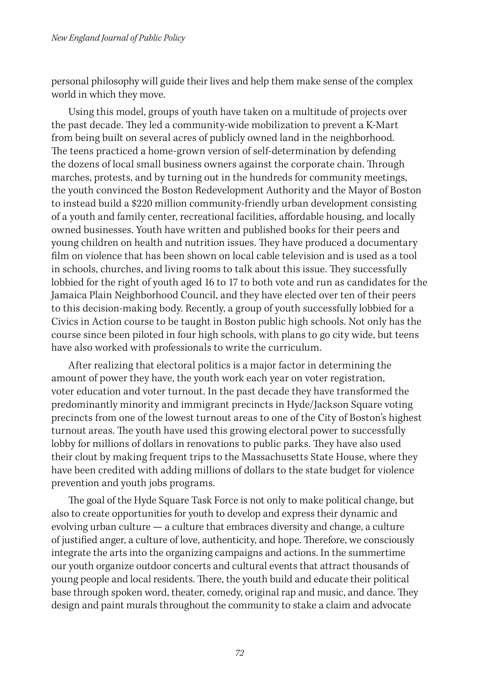personal philosophy will guide their lives and help them make sense of the complex world in which they move.

Using this model, groups of youth have taken on a multitude of projects over the past decade. They led a community-wide mobilization to prevent a K-Mart from being built on several acres of publicly owned land in the neighborhood. The teens practiced a home-grown version of self-determination by defending the dozens of local small business owners against the corporate chain. Through marches, protests, and by turning out in the hundreds for community meetings, the youth convinced the Boston Redevelopment Authority and the Mayor of Boston to instead build a \$220 million community-friendly urban development consisting of a youth and family center, recreational facilities, affordable housing, and locally owned businesses. Youth have written and published books for their peers and young children on health and nutrition issues. They have produced a documentary film on violence that has been shown on local cable television and is used as a tool in schools, churches, and living rooms to talk about this issue. They successfully lobbied for the right of youth aged 16 to 17 to both vote and run as candidates for the Jamaica Plain Neighborhood Council, and they have elected over ten of their peers to this decision-making body. Recently, a group of youth successfully lobbied for a Civics in Action course to be taught in Boston public high schools. Not only has the course since been piloted in four high schools, with plans to go city wide, but teens have also worked with professionals to write the curriculum.

After realizing that electoral politics is a major factor in determining the amount of power they have, the youth work each year on voter registration, voter education and voter turnout. In the past decade they have transformed the predominantly minority and immigrant precincts in Hyde/Jackson Square voting precincts from one of the lowest turnout areas to one of the City of Boston's highest turnout areas. The youth have used this growing electoral power to successfully lobby for millions of dollars in renovations to public parks. They have also used their clout by making frequent trips to the Massachusetts State House, where they have been credited with adding millions of dollars to the state budget for violence prevention and youth jobs programs.

The goal of the Hyde Square Task Force is not only to make political change, but also to create opportunities for youth to develop and express their dynamic and evolving urban culture — a culture that embraces diversity and change, a culture of justified anger, a culture of love, authenticity, and hope. Therefore, we consciously integrate the arts into the organizing campaigns and actions. In the summertime our youth organize outdoor concerts and cultural events that attract thousands of young people and local residents. There, the youth build and educate their political base through spoken word, theater, comedy, original rap and music, and dance. They design and paint murals throughout the community to stake a claim and advocate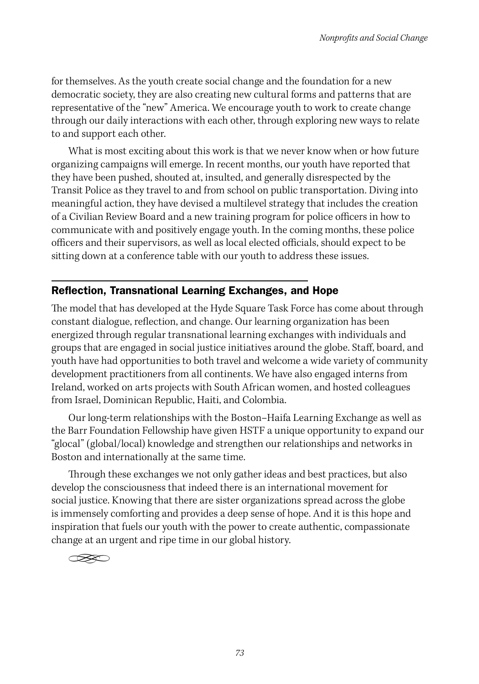for themselves. As the youth create social change and the foundation for a new democratic society, they are also creating new cultural forms and patterns that are representative of the "new" America. We encourage youth to work to create change through our daily interactions with each other, through exploring new ways to relate to and support each other.

What is most exciting about this work is that we never know when or how future organizing campaigns will emerge. In recent months, our youth have reported that they have been pushed, shouted at, insulted, and generally disrespected by the Transit Police as they travel to and from school on public transportation. Diving into meaningful action, they have devised a multilevel strategy that includes the creation of a Civilian Review Board and a new training program for police officers in how to communicate with and positively engage youth. In the coming months, these police officers and their supervisors, as well as local elected officials, should expect to be sitting down at a conference table with our youth to address these issues.

#### Reflection, Transnational Learning Exchanges, and Hope

The model that has developed at the Hyde Square Task Force has come about through constant dialogue, reflection, and change. Our learning organization has been energized through regular transnational learning exchanges with individuals and groups that are engaged in social justice initiatives around the globe. Staff, board, and youth have had opportunities to both travel and welcome a wide variety of community development practitioners from all continents. We have also engaged interns from Ireland, worked on arts projects with South African women, and hosted colleagues from Israel, Dominican Republic, Haiti, and Colombia.

Our long-term relationships with the Boston–Haifa Learning Exchange as well as the Barr Foundation Fellowship have given HSTF a unique opportunity to expand our "glocal" (global/local) knowledge and strengthen our relationships and networks in Boston and internationally at the same time.

Through these exchanges we not only gather ideas and best practices, but also develop the consciousness that indeed there is an international movement for social justice. Knowing that there are sister organizations spread across the globe is immensely comforting and provides a deep sense of hope. And it is this hope and inspiration that fuels our youth with the power to create authentic, compassionate change at an urgent and ripe time in our global history.

 $\infty$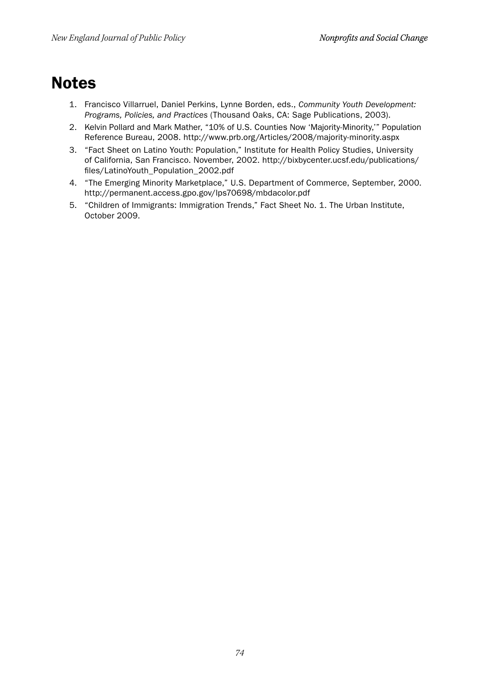## **Notes**

- 1. Francisco Villarruel, Daniel Perkins, Lynne Borden, eds., *Community Youth Development: Programs, Policies, and Practices* (Thousand Oaks, CA: Sage Publications, 2003).
- 2. Kelvin Pollard and Mark Mather, "10% of U.S. Counties Now 'Majority-Minority,'" Population Reference Bureau, 2008. http://www.prb.org/Articles/2008/majority-minority.aspx
- 3. "Fact Sheet on Latino Youth: Population," Institute for Health Policy Studies, University of California, San Francisco. November, 2002. http://bixbycenter.ucsf.edu/publications/ files/LatinoYouth\_Population\_2002.pdf
- 4. "The Emerging Minority Marketplace," U.S. Department of Commerce, September, 2000. http://permanent.access.gpo.gov/lps70698/mbdacolor.pdf
- 5. "Children of Immigrants: Immigration Trends," Fact Sheet No. 1. The Urban Institute, October 2009.